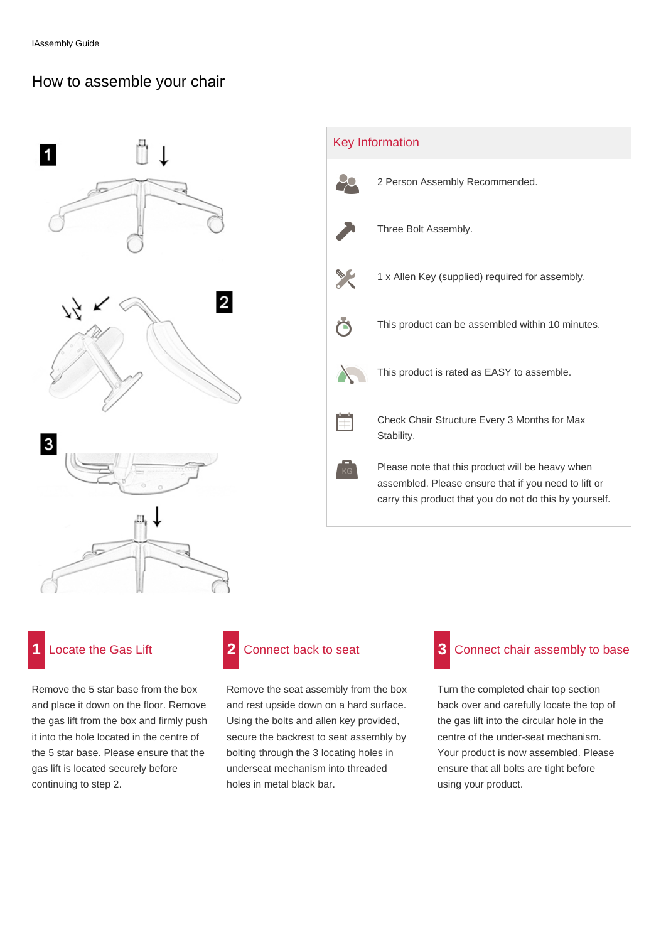## How to assemble your chair



 Key Information 2 Person Assembly Recommended. Three Bolt Assembly. 1 x Allen Key (supplied) required for assembly. This product can be assembled within 10 minutes. Õ This product is rated as EASY to assemble. Check Chair Structure Every 3 Months for Max m Stability. Please note that this product will be heavy when assembled. Please ensure that if you need to lift or carry this product that you do not do this by yourself.

# **Locate the Gas Lift**

Remove the 5 star base from the box and place it down on the floor. Remove the gas lift from the box and firmly push it into the hole located in the centre of the 5 star base. Please ensure that the gas lift is located securely before continuing to step 2.



Remove the seat assembly from the box and rest upside down on a hard surface. Using the bolts and allen key provided, secure the backrest to seat assembly by bolting through the 3 locating holes in underseat mechanism into threaded holes in metal black bar.

## Connect chair assembly to base **3**

Turn the completed chair top section back over and carefully locate the top of the gas lift into the circular hole in the centre of the under-seat mechanism. Your product is now assembled. Please ensure that all bolts are tight before using your product.